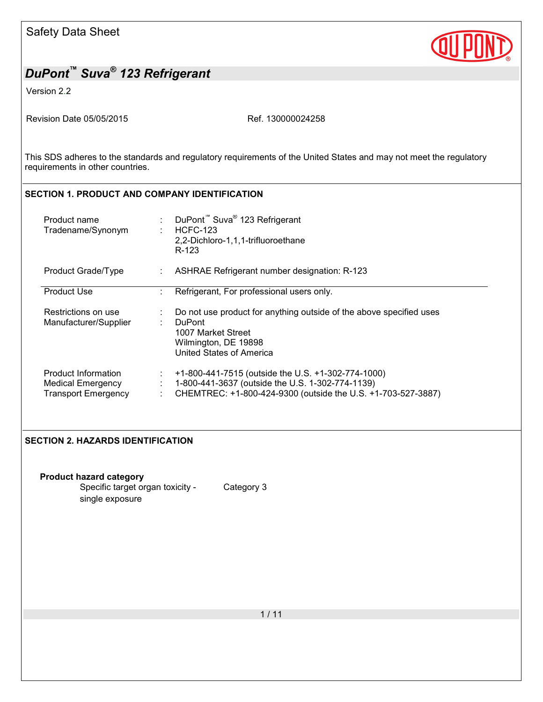

Version 2.2

Revision Date 05/05/2015 Ref. 130000024258

This SDS adheres to the standards and regulatory requirements of the United States and may not meet the regulatory requirements in other countries.

## **SECTION 1. PRODUCT AND COMPANY IDENTIFICATION**

| Product name<br>Tradename/Synonym                                             |    | DuPont <sup>™</sup> Suva <sup>®</sup> 123 Refrigerant<br><b>HCFC-123</b><br>2,2-Dichloro-1,1,1-trifluoroethane<br>R-123                                                |
|-------------------------------------------------------------------------------|----|------------------------------------------------------------------------------------------------------------------------------------------------------------------------|
| Product Grade/Type                                                            |    | ASHRAE Refrigerant number designation: R-123                                                                                                                           |
| <b>Product Use</b>                                                            |    | Refrigerant, For professional users only.                                                                                                                              |
| Restrictions on use<br>Manufacturer/Supplier                                  | ÷  | Do not use product for anything outside of the above specified uses<br><b>DuPont</b><br>1007 Market Street<br>Wilmington, DE 19898<br><b>United States of America</b>  |
| Product Information<br><b>Medical Emergency</b><br><b>Transport Emergency</b> | ÷. | +1-800-441-7515 (outside the U.S. +1-302-774-1000)<br>1-800-441-3637 (outside the U.S. 1-302-774-1139)<br>CHEMTREC: +1-800-424-9300 (outside the U.S. +1-703-527-3887) |

### **SECTION 2. HAZARDS IDENTIFICATION**

| <b>Product hazard category</b>   |            |
|----------------------------------|------------|
| Specific target organ toxicity - | Category 3 |
| single exposure                  |            |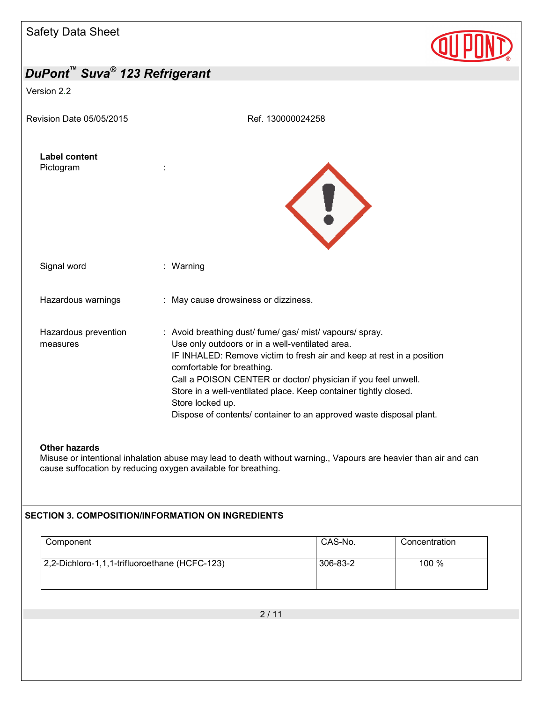Version 2.2



| <b>Label content</b><br>Pictogram |                                                                                                                                                                                                                                                                                                                                                                                                                                                    |
|-----------------------------------|----------------------------------------------------------------------------------------------------------------------------------------------------------------------------------------------------------------------------------------------------------------------------------------------------------------------------------------------------------------------------------------------------------------------------------------------------|
| Signal word                       | : Warning                                                                                                                                                                                                                                                                                                                                                                                                                                          |
| Hazardous warnings                | : May cause drowsiness or dizziness.                                                                                                                                                                                                                                                                                                                                                                                                               |
| Hazardous prevention<br>measures  | : Avoid breathing dust/ fume/ gas/ mist/ vapours/ spray.<br>Use only outdoors or in a well-ventilated area.<br>IF INHALED: Remove victim to fresh air and keep at rest in a position<br>comfortable for breathing.<br>Call a POISON CENTER or doctor/ physician if you feel unwell.<br>Store in a well-ventilated place. Keep container tightly closed.<br>Store locked up.<br>Dispose of contents/ container to an approved waste disposal plant. |

#### **Other hazards**

Misuse or intentional inhalation abuse may lead to death without warning., Vapours are heavier than air and can cause suffocation by reducing oxygen available for breathing.

### **SECTION 3. COMPOSITION/INFORMATION ON INGREDIENTS**

| Component                                     | CAS-No.  | Concentration |
|-----------------------------------------------|----------|---------------|
| 2,2-Dichloro-1,1,1-trifluoroethane (HCFC-123) | 306-83-2 | 100 %         |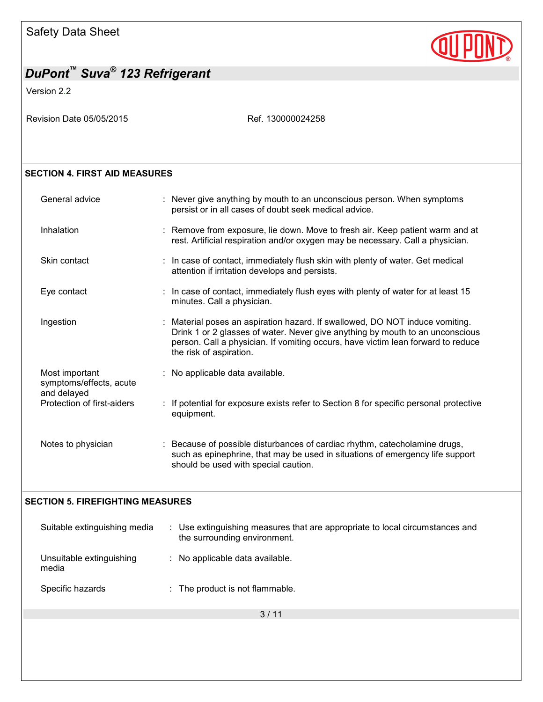

Version 2.2

Revision Date 05/05/2015 Revision Date 05/05/2015

### **SECTION 4. FIRST AID MEASURES**

| General advice                                           | : Never give anything by mouth to an unconscious person. When symptoms<br>persist or in all cases of doubt seek medical advice.                                                                                                                                              |
|----------------------------------------------------------|------------------------------------------------------------------------------------------------------------------------------------------------------------------------------------------------------------------------------------------------------------------------------|
| Inhalation                                               | : Remove from exposure, lie down. Move to fresh air. Keep patient warm and at<br>rest. Artificial respiration and/or oxygen may be necessary. Call a physician.                                                                                                              |
| Skin contact                                             | : In case of contact, immediately flush skin with plenty of water. Get medical<br>attention if irritation develops and persists.                                                                                                                                             |
| Eye contact                                              | : In case of contact, immediately flush eyes with plenty of water for at least 15<br>minutes. Call a physician.                                                                                                                                                              |
| Ingestion                                                | : Material poses an aspiration hazard. If swallowed, DO NOT induce vomiting.<br>Drink 1 or 2 glasses of water. Never give anything by mouth to an unconscious<br>person. Call a physician. If vomiting occurs, have victim lean forward to reduce<br>the risk of aspiration. |
| Most important<br>symptoms/effects, acute<br>and delayed | : No applicable data available.                                                                                                                                                                                                                                              |
| Protection of first-aiders                               | : If potential for exposure exists refer to Section 8 for specific personal protective<br>equipment.                                                                                                                                                                         |
| Notes to physician                                       | : Because of possible disturbances of cardiac rhythm, catecholamine drugs,<br>such as epinephrine, that may be used in situations of emergency life support<br>should be used with special caution.                                                                          |

### **SECTION 5. FIREFIGHTING MEASURES**

| Suitable extinguishing media      | : Use extinguishing measures that are appropriate to local circumstances and<br>the surrounding environment. |  |
|-----------------------------------|--------------------------------------------------------------------------------------------------------------|--|
| Unsuitable extinguishing<br>media | : No applicable data available.                                                                              |  |
| Specific hazards                  | : The product is not flammable.                                                                              |  |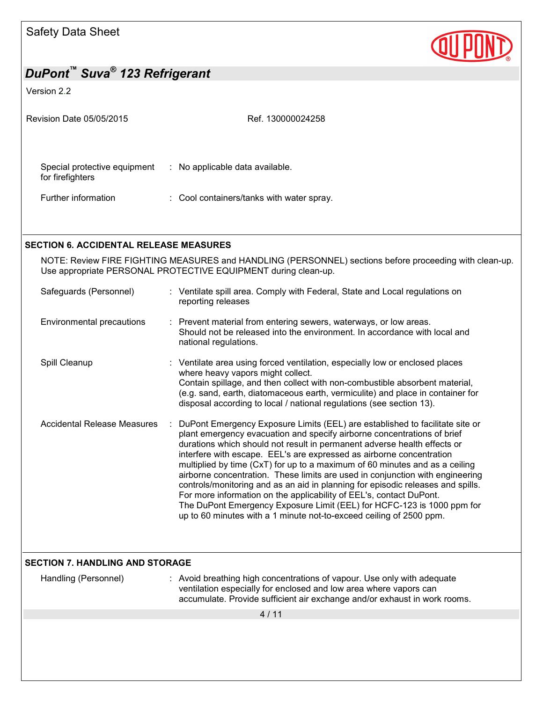

#### Version 2.2

| Revision Date 05/05/2015                         | Ref. 130000024258                         |  |
|--------------------------------------------------|-------------------------------------------|--|
| Special protective equipment<br>for firefighters | : No applicable data available.           |  |
| Further information                              | : Cool containers/tanks with water spray. |  |

### **SECTION 6. ACCIDENTAL RELEASE MEASURES**

NOTE: Review FIRE FIGHTING MEASURES and HANDLING (PERSONNEL) sections before proceeding with clean-up. Use appropriate PERSONAL PROTECTIVE EQUIPMENT during clean-up.

| Safeguards (Personnel)      | : Ventilate spill area. Comply with Federal, State and Local regulations on<br>reporting releases                                                                                                                                                                                                                                                                                                                                                                                                                                                                                                                                                                                                                                                                                      |
|-----------------------------|----------------------------------------------------------------------------------------------------------------------------------------------------------------------------------------------------------------------------------------------------------------------------------------------------------------------------------------------------------------------------------------------------------------------------------------------------------------------------------------------------------------------------------------------------------------------------------------------------------------------------------------------------------------------------------------------------------------------------------------------------------------------------------------|
| Environmental precautions   | : Prevent material from entering sewers, waterways, or low areas.<br>Should not be released into the environment. In accordance with local and<br>national regulations.                                                                                                                                                                                                                                                                                                                                                                                                                                                                                                                                                                                                                |
| Spill Cleanup               | : Ventilate area using forced ventilation, especially low or enclosed places<br>where heavy vapors might collect.<br>Contain spillage, and then collect with non-combustible absorbent material,<br>(e.g. sand, earth, diatomaceous earth, vermiculite) and place in container for<br>disposal according to local / national regulations (see section 13).                                                                                                                                                                                                                                                                                                                                                                                                                             |
| Accidental Release Measures | DuPont Emergency Exposure Limits (EEL) are established to facilitate site or<br>plant emergency evacuation and specify airborne concentrations of brief<br>durations which should not result in permanent adverse health effects or<br>interfere with escape. EEL's are expressed as airborne concentration<br>multiplied by time (CxT) for up to a maximum of 60 minutes and as a ceiling<br>airborne concentration. These limits are used in conjunction with engineering<br>controls/monitoring and as an aid in planning for episodic releases and spills.<br>For more information on the applicability of EEL's, contact DuPont.<br>The DuPont Emergency Exposure Limit (EEL) for HCFC-123 is 1000 ppm for<br>up to 60 minutes with a 1 minute not-to-exceed ceiling of 2500 ppm. |

### **SECTION 7. HANDLING AND STORAGE**

Handling (Personnel) : Avoid breathing high concentrations of vapour. Use only with adequate ventilation especially for enclosed and low area where vapors can accumulate. Provide sufficient air exchange and/or exhaust in work rooms.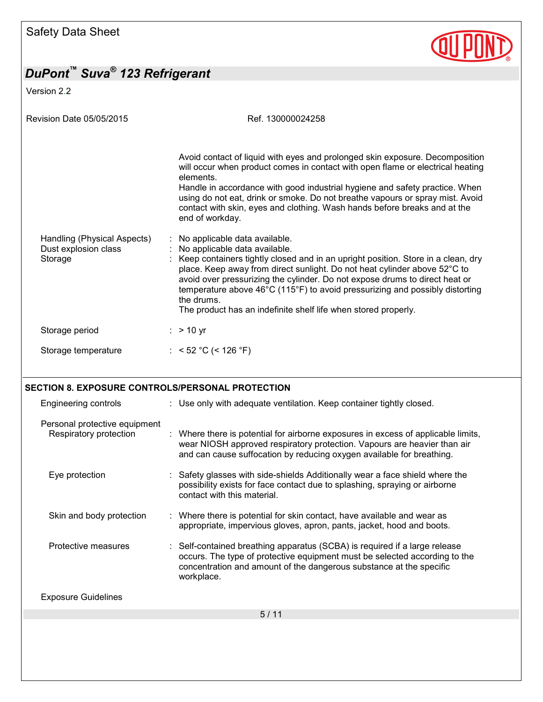

Version 2.2

| <b>Revision Date 05/05/2015</b>                                | Ref. 130000024258                                                                                                                                                                                                                                                                                                                                                                                                                                                              |
|----------------------------------------------------------------|--------------------------------------------------------------------------------------------------------------------------------------------------------------------------------------------------------------------------------------------------------------------------------------------------------------------------------------------------------------------------------------------------------------------------------------------------------------------------------|
|                                                                | Avoid contact of liquid with eyes and prolonged skin exposure. Decomposition<br>will occur when product comes in contact with open flame or electrical heating<br>elements.<br>Handle in accordance with good industrial hygiene and safety practice. When<br>using do not eat, drink or smoke. Do not breathe vapours or spray mist. Avoid<br>contact with skin, eyes and clothing. Wash hands before breaks and at the<br>end of workday.                                    |
| Handling (Physical Aspects)<br>Dust explosion class<br>Storage | No applicable data available.<br>No applicable data available.<br>Keep containers tightly closed and in an upright position. Store in a clean, dry<br>place. Keep away from direct sunlight. Do not heat cylinder above 52°C to<br>avoid over pressurizing the cylinder. Do not expose drums to direct heat or<br>temperature above 46°C (115°F) to avoid pressurizing and possibly distorting<br>the drums.<br>The product has an indefinite shelf life when stored properly. |
| Storage period                                                 | $:$ > 10 yr                                                                                                                                                                                                                                                                                                                                                                                                                                                                    |
| Storage temperature                                            | : < 52 °C (< 126 °F)                                                                                                                                                                                                                                                                                                                                                                                                                                                           |
| SECTION 8. EXPOSURE CONTROLS/PERSONAL PROTECTION               |                                                                                                                                                                                                                                                                                                                                                                                                                                                                                |
| Engineering controls                                           | : Use only with adequate ventilation. Keep container tightly closed.                                                                                                                                                                                                                                                                                                                                                                                                           |
| Personal protective equipment<br>Respiratory protection        | : Where there is potential for airborne exposures in excess of applicable limits,<br>wear NIOSH approved respiratory protection. Vapours are heavier than air<br>and can cause suffocation by reducing oxygen available for breathing.                                                                                                                                                                                                                                         |
| Eye protection                                                 | Safety glasses with side-shields Additionally wear a face shield where the<br>possibility exists for face contact due to splashing, spraying or airborne<br>contact with this material.                                                                                                                                                                                                                                                                                        |

## Skin and body protection : Where there is potential for skin contact, have available and wear as appropriate, impervious gloves, apron, pants, jacket, hood and boots.

Protective measures : Self-contained breathing apparatus (SCBA) is required if a large release occurs. The type of protective equipment must be selected according to the concentration and amount of the dangerous substance at the specific workplace.

Exposure Guidelines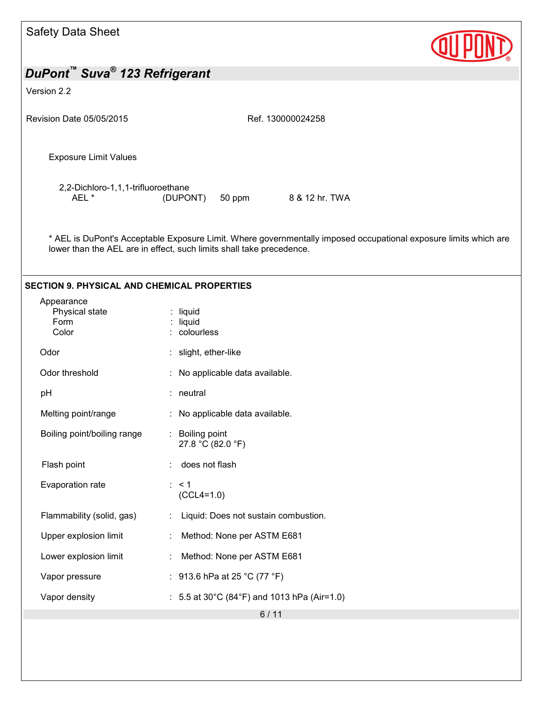| <b>Safety Data Sheet</b>                              |                                                                                                                                                                                          |
|-------------------------------------------------------|------------------------------------------------------------------------------------------------------------------------------------------------------------------------------------------|
| DuPont <sup>™</sup> Suva <sup>®</sup> 123 Refrigerant |                                                                                                                                                                                          |
| Version 2.2                                           |                                                                                                                                                                                          |
|                                                       |                                                                                                                                                                                          |
| Revision Date 05/05/2015                              | Ref. 130000024258                                                                                                                                                                        |
| <b>Exposure Limit Values</b>                          |                                                                                                                                                                                          |
| 2,2-Dichloro-1,1,1-trifluoroethane<br>AEL*            | 8 & 12 hr. TWA<br>(DUPONT)<br>50 ppm                                                                                                                                                     |
|                                                       | * AEL is DuPont's Acceptable Exposure Limit. Where governmentally imposed occupational exposure limits which are<br>lower than the AEL are in effect, such limits shall take precedence. |
| <b>SECTION 9. PHYSICAL AND CHEMICAL PROPERTIES</b>    |                                                                                                                                                                                          |
| Appearance<br>Physical state<br>Form<br>Color         | $:$ liquid<br>: liquid<br>: colourless                                                                                                                                                   |
| Odor                                                  | : slight, ether-like                                                                                                                                                                     |
| Odor threshold                                        | : No applicable data available.                                                                                                                                                          |
| pH                                                    | : neutral                                                                                                                                                                                |
| Melting point/range                                   | : No applicable data available.                                                                                                                                                          |
| Boiling point/boiling range                           | : Boiling point<br>27.8 °C (82.0 °F)                                                                                                                                                     |
| Flash point                                           | does not flash                                                                                                                                                                           |
| Evaporation rate                                      | $\therefore$ < 1<br>$(CCL4=1.0)$                                                                                                                                                         |
| Flammability (solid, gas)                             | Liquid: Does not sustain combustion.                                                                                                                                                     |
| Upper explosion limit                                 | Method: None per ASTM E681                                                                                                                                                               |
| Lower explosion limit                                 | Method: None per ASTM E681                                                                                                                                                               |
| Vapor pressure                                        | : 913.6 hPa at 25 °C (77 °F)                                                                                                                                                             |
| Vapor density                                         | : 5.5 at 30°C (84°F) and 1013 hPa (Air=1.0)                                                                                                                                              |
|                                                       | $6/11$                                                                                                                                                                                   |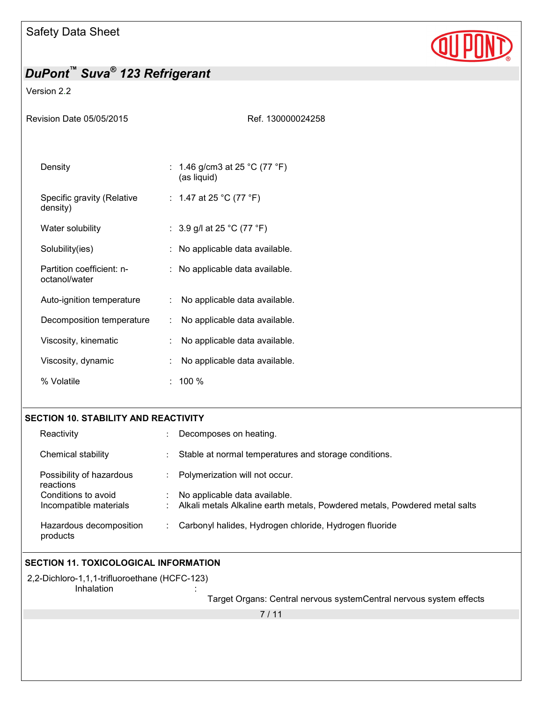

### Version 2.2

| Revision Date 05/05/2015                   | Ref. 130000024258                            |
|--------------------------------------------|----------------------------------------------|
| Density                                    | : 1.46 g/cm3 at 25 °C (77 °F)<br>(as liquid) |
| Specific gravity (Relative<br>density)     | : 1.47 at 25 °C (77 °F)                      |
| Water solubility                           | : 3.9 g/l at 25 °C (77 °F)                   |
| Solubility(ies)                            | : No applicable data available.              |
| Partition coefficient: n-<br>octanol/water | : No applicable data available.              |
| Auto-ignition temperature                  | No applicable data available.<br>÷.          |
| Decomposition temperature                  | No applicable data available.<br>÷           |
| Viscosity, kinematic                       | No applicable data available.                |
| Viscosity, dynamic                         | No applicable data available.                |
| % Volatile                                 | 100 %                                        |

### **SECTION 10. STABILITY AND REACTIVITY**

| Reactivity                            | Decomposes on heating.                                                     |
|---------------------------------------|----------------------------------------------------------------------------|
| Chemical stability                    | Stable at normal temperatures and storage conditions.                      |
| Possibility of hazardous<br>reactions | Polymerization will not occur.                                             |
| Conditions to avoid                   | No applicable data available.                                              |
| Incompatible materials                | Alkali metals Alkaline earth metals, Powdered metals, Powdered metal salts |
| Hazardous decomposition<br>products   | Carbonyl halides, Hydrogen chloride, Hydrogen fluoride                     |

## **SECTION 11. TOXICOLOGICAL INFORMATION**

2,2-Dichloro-1,1,1-trifluoroethane (HCFC-123) **Inhalation** 

Target Organs: Central nervous systemCentral nervous system effects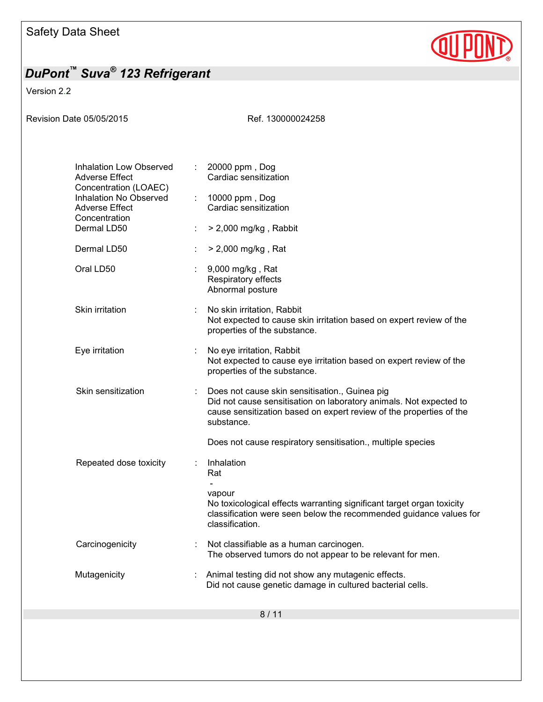

Version 2.2

| Revision Date 05/05/2015 |                                                                                                                                                                     |                                                      | Ref. 130000024258                                                                                                                                                                                         |
|--------------------------|---------------------------------------------------------------------------------------------------------------------------------------------------------------------|------------------------------------------------------|-----------------------------------------------------------------------------------------------------------------------------------------------------------------------------------------------------------|
|                          | <b>Inhalation Low Observed</b><br><b>Adverse Effect</b><br>Concentration (LOAEC)<br>Inhalation No Observed<br><b>Adverse Effect</b><br>Concentration<br>Dermal LD50 | $\mathcal{L}^{\mathcal{L}}$<br>$\mathbb{Z}^{\times}$ | 20000 ppm, Dog<br>Cardiac sensitization<br>10000 ppm, Dog<br>Cardiac sensitization<br>$>$ 2,000 mg/kg, Rabbit                                                                                             |
|                          | Dermal LD50                                                                                                                                                         |                                                      | > 2,000 mg/kg, Rat                                                                                                                                                                                        |
|                          | Oral LD50                                                                                                                                                           |                                                      | 9,000 mg/kg, Rat<br>Respiratory effects<br>Abnormal posture                                                                                                                                               |
|                          | Skin irritation                                                                                                                                                     |                                                      | No skin irritation, Rabbit<br>Not expected to cause skin irritation based on expert review of the<br>properties of the substance.                                                                         |
|                          | Eye irritation                                                                                                                                                      |                                                      | No eye irritation, Rabbit<br>Not expected to cause eye irritation based on expert review of the<br>properties of the substance.                                                                           |
|                          | Skin sensitization                                                                                                                                                  |                                                      | Does not cause skin sensitisation., Guinea pig<br>Did not cause sensitisation on laboratory animals. Not expected to<br>cause sensitization based on expert review of the properties of the<br>substance. |
|                          |                                                                                                                                                                     |                                                      | Does not cause respiratory sensitisation., multiple species                                                                                                                                               |
|                          | Repeated dose toxicity                                                                                                                                              |                                                      | Inhalation<br>Rat                                                                                                                                                                                         |
|                          |                                                                                                                                                                     |                                                      | vapour<br>No toxicological effects warranting significant target organ toxicity<br>classification were seen below the recommended guidance values for<br>classification.                                  |
|                          | Carcinogenicity                                                                                                                                                     |                                                      | Not classifiable as a human carcinogen.<br>The observed tumors do not appear to be relevant for men.                                                                                                      |
|                          | Mutagenicity                                                                                                                                                        |                                                      | Animal testing did not show any mutagenic effects.<br>Did not cause genetic damage in cultured bacterial cells.                                                                                           |
|                          |                                                                                                                                                                     |                                                      |                                                                                                                                                                                                           |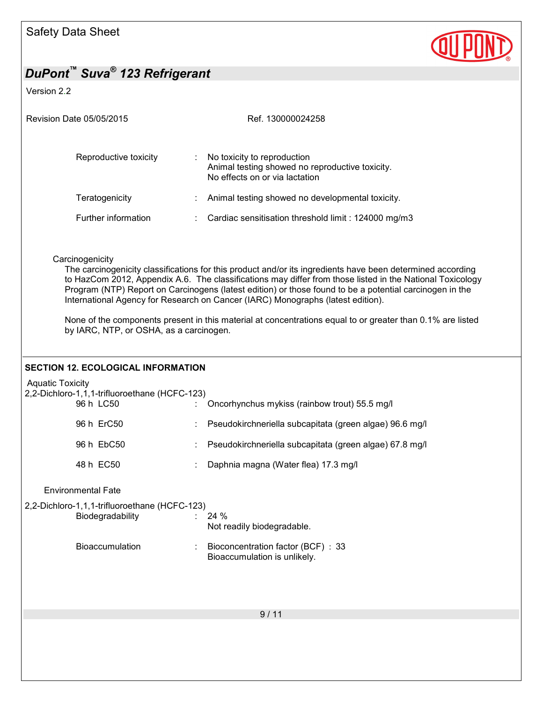

Version 2.2

| <b>Revision Date 05/05/2015</b> |   | Ref. 130000024258                                                                                                                                                                                                       |
|---------------------------------|---|-------------------------------------------------------------------------------------------------------------------------------------------------------------------------------------------------------------------------|
| Reproductive toxicity           | ÷ | No toxicity to reproduction<br>Animal testing showed no reproductive toxicity.<br>No effects on or via lactation                                                                                                        |
| Teratogenicity                  |   | Animal testing showed no developmental toxicity.                                                                                                                                                                        |
| Further information             |   | : Cardiac sensitisation threshold limit : 124000 mg/m3                                                                                                                                                                  |
| Carcinogenicity                 |   | The carcinogenicity classifications for this product and/or its ingredients have been determined according<br>to HazCom 2012, Appendix A.6. The classifications may differ from those listed in the National Toxicology |

International Agency for Research on Cancer (IARC) Monographs (latest edition).

Program (NTP) Report on Carcinogens (latest edition) or those found to be a potential carcinogen in the

None of the components present in this material at concentrations equal to or greater than 0.1% are listed by IARC, NTP, or OSHA, as a carcinogen.

### **SECTION 12. ECOLOGICAL INFORMATION**

Aquatic Toxicity

| 2,2-Dichloro-1,1,1-trifluoroethane (HCFC-123)<br>96 h LC50        | Oncorhynchus mykiss (rainbow trout) 55.5 mg/l                     |
|-------------------------------------------------------------------|-------------------------------------------------------------------|
| 96 h ErC50                                                        | Pseudokirchneriella subcapitata (green algae) 96.6 mg/l           |
| 96 h EbC50                                                        | Pseudokirchneriella subcapitata (green algae) 67.8 mg/l           |
| 48 h EC50                                                         | Daphnia magna (Water flea) 17.3 mg/l                              |
| <b>Environmental Fate</b>                                         |                                                                   |
| 2,2-Dichloro-1,1,1-trifluoroethane (HCFC-123)<br>Biodegradability | 24 %                                                              |
|                                                                   | Not readily biodegradable.                                        |
| <b>Bioaccumulation</b>                                            | Bioconcentration factor (BCF): 33<br>Bioaccumulation is unlikely. |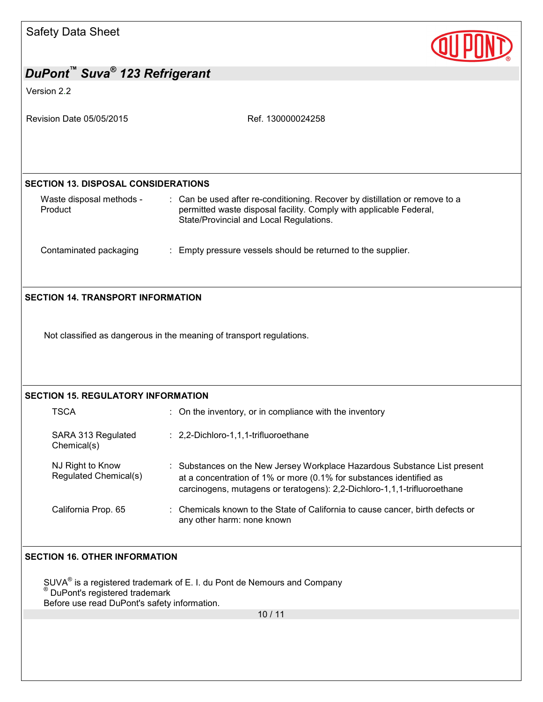

| DuPont Buva <sup>®</sup> 123 Refrigerant                                                                              |                                                                                                                                                                                                                              |
|-----------------------------------------------------------------------------------------------------------------------|------------------------------------------------------------------------------------------------------------------------------------------------------------------------------------------------------------------------------|
| Version 2.2                                                                                                           |                                                                                                                                                                                                                              |
| Revision Date 05/05/2015                                                                                              | Ref. 130000024258                                                                                                                                                                                                            |
|                                                                                                                       |                                                                                                                                                                                                                              |
| <b>SECTION 13. DISPOSAL CONSIDERATIONS</b>                                                                            |                                                                                                                                                                                                                              |
| Waste disposal methods -<br>Product                                                                                   | : Can be used after re-conditioning. Recover by distillation or remove to a<br>permitted waste disposal facility. Comply with applicable Federal,<br>State/Provincial and Local Regulations.                                 |
| Contaminated packaging                                                                                                | : Empty pressure vessels should be returned to the supplier.                                                                                                                                                                 |
| <b>SECTION 14. TRANSPORT INFORMATION</b>                                                                              |                                                                                                                                                                                                                              |
| <b>SECTION 15. REGULATORY INFORMATION</b>                                                                             | Not classified as dangerous in the meaning of transport regulations.                                                                                                                                                         |
| <b>TSCA</b>                                                                                                           | : On the inventory, or in compliance with the inventory                                                                                                                                                                      |
| SARA 313 Regulated<br>Chemical(s)                                                                                     | : 2,2-Dichloro-1,1,1-trifluoroethane                                                                                                                                                                                         |
| NJ Right to Know<br>Regulated Chemical(s)                                                                             | : Substances on the New Jersey Workplace Hazardous Substance List present<br>at a concentration of 1% or more (0.1% for substances identified as<br>carcinogens, mutagens or teratogens): 2,2-Dichloro-1,1,1-trifluoroethane |
| California Prop. 65                                                                                                   | Chemicals known to the State of California to cause cancer, birth defects or<br>any other harm: none known                                                                                                                   |
| <b>SECTION 16. OTHER INFORMATION</b><br>DuPont's registered trademark<br>Before use read DuPont's safety information. | $SUVA®$ is a registered trademark of E. I. du Pont de Nemours and Company<br>10/11                                                                                                                                           |
|                                                                                                                       |                                                                                                                                                                                                                              |
|                                                                                                                       |                                                                                                                                                                                                                              |
|                                                                                                                       |                                                                                                                                                                                                                              |
|                                                                                                                       |                                                                                                                                                                                                                              |